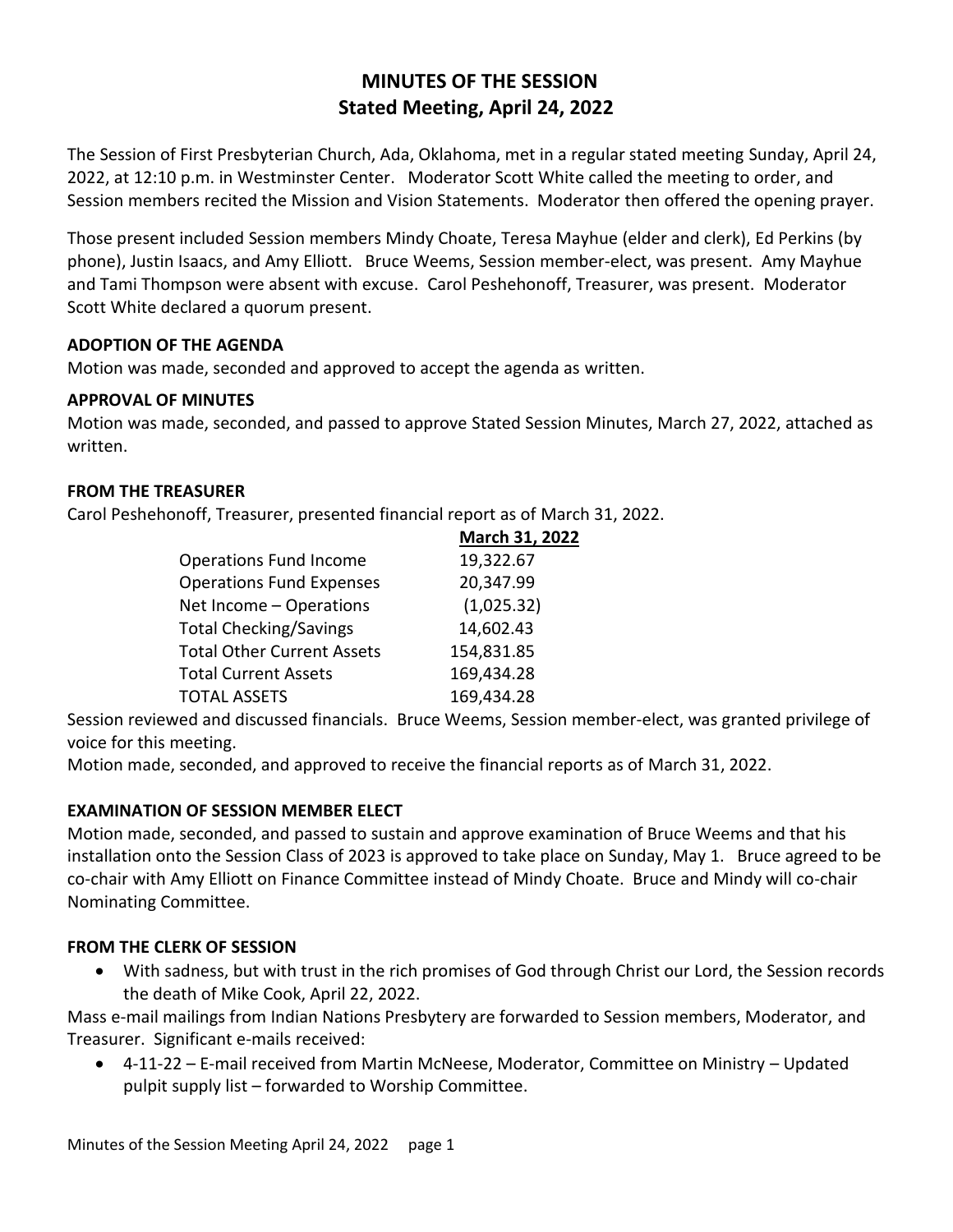# **MINUTES OF THE SESSION Stated Meeting, April 24, 2022**

The Session of First Presbyterian Church, Ada, Oklahoma, met in a regular stated meeting Sunday, April 24, 2022, at 12:10 p.m. in Westminster Center. Moderator Scott White called the meeting to order, and Session members recited the Mission and Vision Statements. Moderator then offered the opening prayer.

Those present included Session members Mindy Choate, Teresa Mayhue (elder and clerk), Ed Perkins (by phone), Justin Isaacs, and Amy Elliott. Bruce Weems, Session member-elect, was present. Amy Mayhue and Tami Thompson were absent with excuse. Carol Peshehonoff, Treasurer, was present. Moderator Scott White declared a quorum present.

# **ADOPTION OF THE AGENDA**

Motion was made, seconded and approved to accept the agenda as written.

## **APPROVAL OF MINUTES**

Motion was made, seconded, and passed to approve Stated Session Minutes, March 27, 2022, attached as written.

## **FROM THE TREASURER**

Carol Peshehonoff, Treasurer, presented financial report as of March 31, 2022.

|                                   | March 31, 2022 |
|-----------------------------------|----------------|
| <b>Operations Fund Income</b>     | 19,322.67      |
| <b>Operations Fund Expenses</b>   | 20,347.99      |
| Net Income - Operations           | (1,025.32)     |
| <b>Total Checking/Savings</b>     | 14,602.43      |
| <b>Total Other Current Assets</b> | 154,831.85     |
| <b>Total Current Assets</b>       | 169,434.28     |
| <b>TOTAL ASSETS</b>               | 169,434.28     |

Session reviewed and discussed financials. Bruce Weems, Session member-elect, was granted privilege of voice for this meeting.

Motion made, seconded, and approved to receive the financial reports as of March 31, 2022.

# **EXAMINATION OF SESSION MEMBER ELECT**

Motion made, seconded, and passed to sustain and approve examination of Bruce Weems and that his installation onto the Session Class of 2023 is approved to take place on Sunday, May 1. Bruce agreed to be co-chair with Amy Elliott on Finance Committee instead of Mindy Choate. Bruce and Mindy will co-chair Nominating Committee.

# **FROM THE CLERK OF SESSION**

 With sadness, but with trust in the rich promises of God through Christ our Lord, the Session records the death of Mike Cook, April 22, 2022.

Mass e-mail mailings from Indian Nations Presbytery are forwarded to Session members, Moderator, and Treasurer. Significant e-mails received:

 4-11-22 – E-mail received from Martin McNeese, Moderator, Committee on Ministry – Updated pulpit supply list – forwarded to Worship Committee.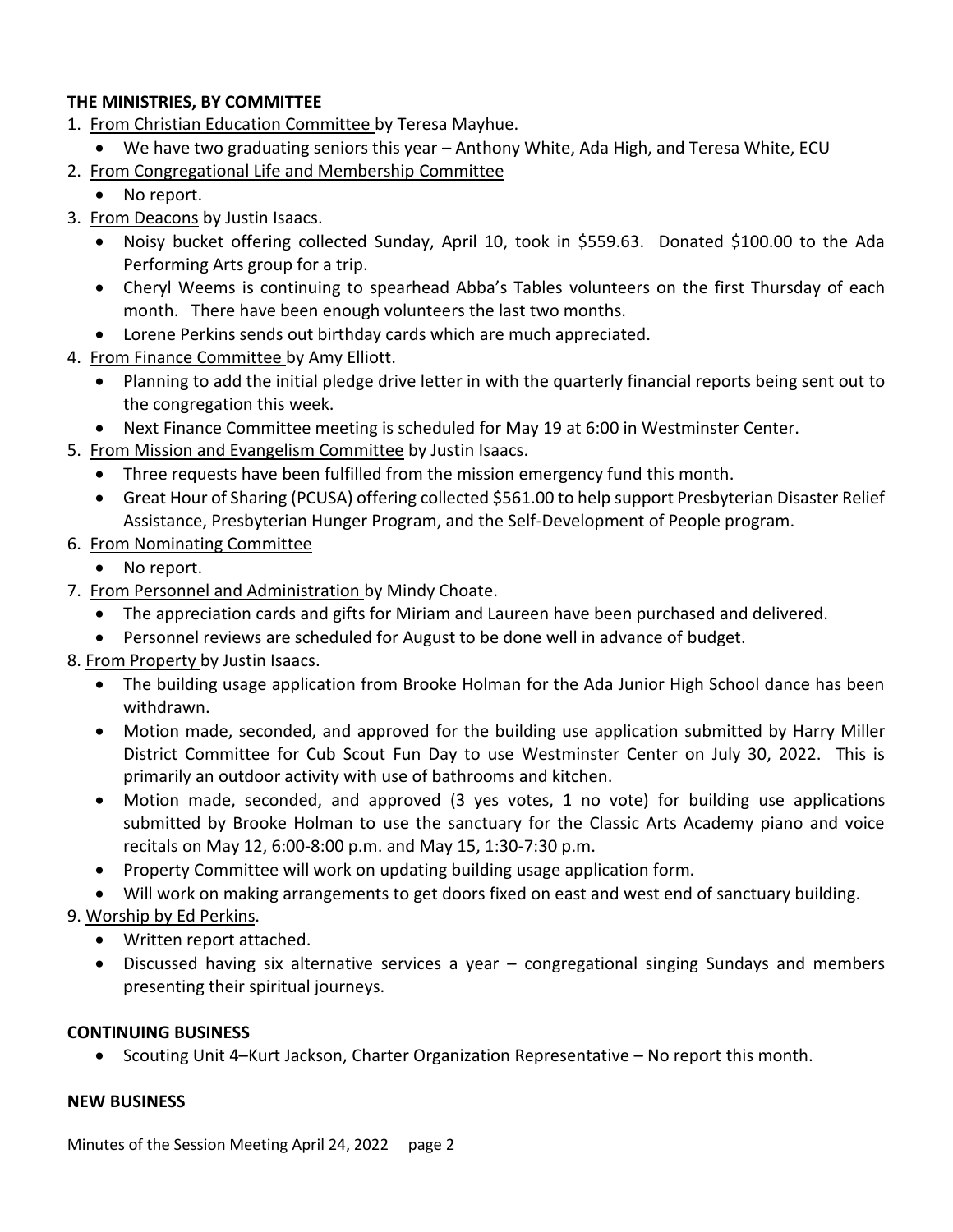# **THE MINISTRIES, BY COMMITTEE**

- 1. From Christian Education Committee by Teresa Mayhue.
- We have two graduating seniors this year Anthony White, Ada High, and Teresa White, ECU
- 2. From Congregational Life and Membership Committee
	- No report.
- 3. From Deacons by Justin Isaacs.
	- Noisy bucket offering collected Sunday, April 10, took in \$559.63. Donated \$100.00 to the Ada Performing Arts group for a trip.
	- Cheryl Weems is continuing to spearhead Abba's Tables volunteers on the first Thursday of each month. There have been enough volunteers the last two months.
	- Lorene Perkins sends out birthday cards which are much appreciated.
- 4. From Finance Committee by Amy Elliott.
	- Planning to add the initial pledge drive letter in with the quarterly financial reports being sent out to the congregation this week.
	- Next Finance Committee meeting is scheduled for May 19 at 6:00 in Westminster Center.
- 5. From Mission and Evangelism Committee by Justin Isaacs.
	- Three requests have been fulfilled from the mission emergency fund this month.
	- Great Hour of Sharing (PCUSA) offering collected \$561.00 to help support Presbyterian Disaster Relief Assistance, Presbyterian Hunger Program, and the Self-Development of People program.
- 6. From Nominating Committee
	- No report.
- 7. From Personnel and Administration by Mindy Choate.
	- The appreciation cards and gifts for Miriam and Laureen have been purchased and delivered.
	- Personnel reviews are scheduled for August to be done well in advance of budget.
- 8. From Property by Justin Isaacs.
	- The building usage application from Brooke Holman for the Ada Junior High School dance has been withdrawn.
	- Motion made, seconded, and approved for the building use application submitted by Harry Miller District Committee for Cub Scout Fun Day to use Westminster Center on July 30, 2022. This is primarily an outdoor activity with use of bathrooms and kitchen.
	- Motion made, seconded, and approved (3 yes votes, 1 no vote) for building use applications submitted by Brooke Holman to use the sanctuary for the Classic Arts Academy piano and voice recitals on May 12, 6:00-8:00 p.m. and May 15, 1:30-7:30 p.m.
	- Property Committee will work on updating building usage application form.
	- Will work on making arrangements to get doors fixed on east and west end of sanctuary building.

9. Worship by Ed Perkins.

- Written report attached.
- Discussed having six alternative services a year congregational singing Sundays and members presenting their spiritual journeys.

# **CONTINUING BUSINESS**

• Scouting Unit 4–Kurt Jackson, Charter Organization Representative – No report this month.

#### **NEW BUSINESS**

Minutes of the Session Meeting April 24, 2022 page 2